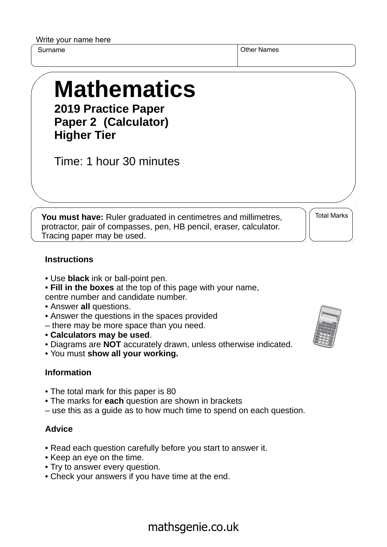Write your name here

Surname Other Names of the Surname Other Names of the Surname of the Surname Other Names of the Names of the Names of the Names of the Names of the Names of the Names of the Names of the Names of the Names of the Names of

# **Mathematics 2019 Practice Paper**

**Paper 2 (Calculator) Higher Tier**

Time: 1 hour 30 minutes

**You must have:** Ruler graduated in centimetres and millimetres, protractor, pair of compasses, pen, HB pencil, eraser, calculator. Tracing paper may be used.

Total Marks

#### **Instructions**

- Use **black** ink or ball-point pen.
- **Fill in the boxes** at the top of this page with your name,
- centre number and candidate number.
- Answer **all** questions.
- Answer the questions in the spaces provided
- there may be more space than you need.
- **Calculators may be used**.
- Diagrams are **NOT** accurately drawn, unless otherwise indicated.
- You must **show all your working.**

### **Information**

- The total mark for this paper is 80
- The marks for **each** question are shown in brackets
- use this as a guide as to how much time to spend on each question.

### **Advice**

- Read each question carefully before you start to answer it.
- Keep an eye on the time.
- Try to answer every question.
- Check your answers if you have time at the end.



## mathsgenie.co.uk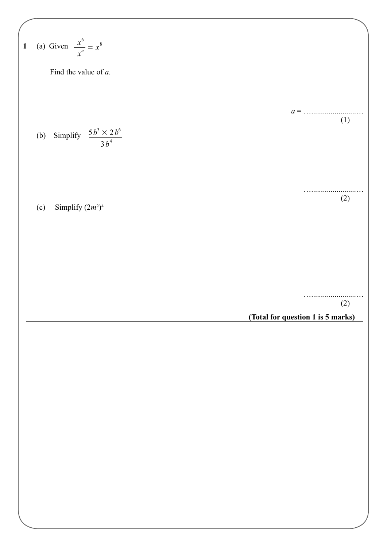1 (a) Given 
$$
\frac{x^6}{x^3} = x^5
$$
  
\nFind the value of *a*.  
\n(b) Simplify  $\frac{5b^3 \times 2b^5}{3b^4}$   
\n(c) Simplify  $(2m^2)^4$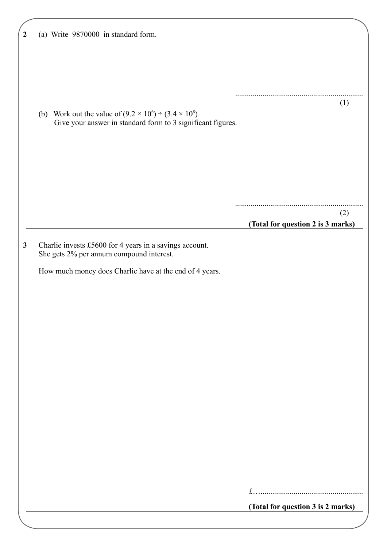|              | (a) Write 9870000 in standard form.                                                                 |                                          |
|--------------|-----------------------------------------------------------------------------------------------------|------------------------------------------|
|              |                                                                                                     |                                          |
|              |                                                                                                     |                                          |
|              |                                                                                                     |                                          |
|              |                                                                                                     |                                          |
|              | (b) Work out the value of $(9.2 \times 10^6) \div (3.4 \times 10^8)$                                | (1)                                      |
|              | Give your answer in standard form to 3 significant figures.                                         |                                          |
|              |                                                                                                     |                                          |
|              |                                                                                                     |                                          |
|              |                                                                                                     |                                          |
|              |                                                                                                     |                                          |
|              |                                                                                                     |                                          |
|              |                                                                                                     | (2)<br>(Total for question 2 is 3 marks) |
|              |                                                                                                     |                                          |
| $\mathbf{3}$ | Charlie invests £5600 for 4 years in a savings account.<br>She gets 2% per annum compound interest. |                                          |
|              |                                                                                                     |                                          |
|              | How much money does Charlie have at the end of 4 years.                                             |                                          |
|              |                                                                                                     |                                          |
|              |                                                                                                     |                                          |
|              |                                                                                                     |                                          |
|              |                                                                                                     |                                          |
|              |                                                                                                     |                                          |
|              |                                                                                                     |                                          |
|              |                                                                                                     |                                          |
|              |                                                                                                     |                                          |
|              |                                                                                                     |                                          |
|              |                                                                                                     |                                          |
|              |                                                                                                     |                                          |
|              |                                                                                                     |                                          |
|              |                                                                                                     |                                          |
|              |                                                                                                     |                                          |
|              |                                                                                                     | (Total for question 3 is 2 marks)        |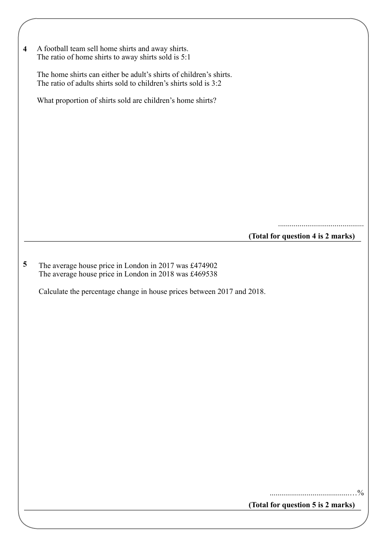| $\overline{\mathbf{4}}$ | A football team sell home shirts and away shirts.<br>The ratio of home shirts to away shirts sold is 5:1                                                                                 |
|-------------------------|------------------------------------------------------------------------------------------------------------------------------------------------------------------------------------------|
|                         | The home shirts can either be adult's shirts of children's shirts.<br>The ratio of adults shirts sold to children's shirts sold is 3:2                                                   |
|                         | What proportion of shirts sold are children's home shirts?                                                                                                                               |
|                         |                                                                                                                                                                                          |
|                         |                                                                                                                                                                                          |
|                         |                                                                                                                                                                                          |
|                         |                                                                                                                                                                                          |
|                         |                                                                                                                                                                                          |
|                         | (Total for question 4 is 2 marks)                                                                                                                                                        |
|                         |                                                                                                                                                                                          |
| $\overline{\mathbf{5}}$ | The average house price in London in 2017 was £474902<br>The average house price in London in 2018 was £469538<br>Calculate the percentage change in house prices between 2017 and 2018. |
|                         |                                                                                                                                                                                          |
|                         |                                                                                                                                                                                          |
|                         |                                                                                                                                                                                          |
|                         |                                                                                                                                                                                          |
|                         |                                                                                                                                                                                          |
|                         |                                                                                                                                                                                          |
|                         |                                                                                                                                                                                          |
|                         |                                                                                                                                                                                          |
|                         |                                                                                                                                                                                          |
|                         |                                                                                                                                                                                          |
|                         |                                                                                                                                                                                          |

**(Total for question 5 is 2 marks)**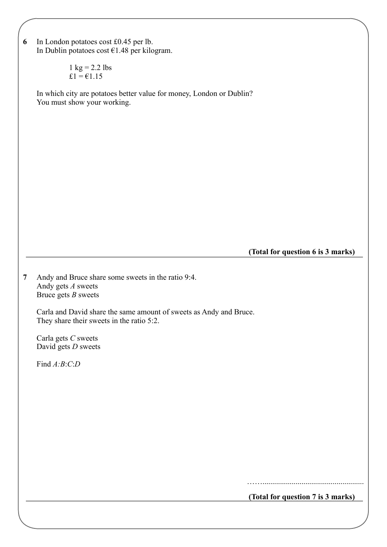| 6              | In London potatoes cost £0.45 per lb.                                                                           |
|----------------|-----------------------------------------------------------------------------------------------------------------|
|                | In Dublin potatoes cost €1.48 per kilogram.                                                                     |
|                | $1 \text{ kg} = 2.2 \text{ lbs}$<br>£1 = $\epsilon$ 1.15                                                        |
|                | In which city are potatoes better value for money, London or Dublin?<br>You must show your working.             |
|                |                                                                                                                 |
|                |                                                                                                                 |
|                |                                                                                                                 |
|                |                                                                                                                 |
|                |                                                                                                                 |
|                |                                                                                                                 |
|                |                                                                                                                 |
|                | (Total for question 6 is 3 marks)                                                                               |
| $\overline{7}$ | Andy and Bruce share some sweets in the ratio 9:4.<br>Andy gets A sweets<br>Bruce gets $B$ sweets               |
|                | Carla and David share the same amount of sweets as Andy and Bruce.<br>They share their sweets in the ratio 5:2. |
|                | Carla gets C sweets<br>David gets $D$ sweets                                                                    |
|                | Find A:B:C:D                                                                                                    |
|                |                                                                                                                 |
|                |                                                                                                                 |
|                |                                                                                                                 |
|                |                                                                                                                 |
|                |                                                                                                                 |
|                |                                                                                                                 |
|                | (Total for question 7 is 3 marks)                                                                               |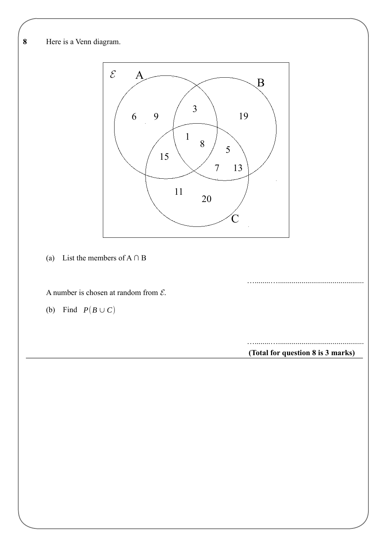

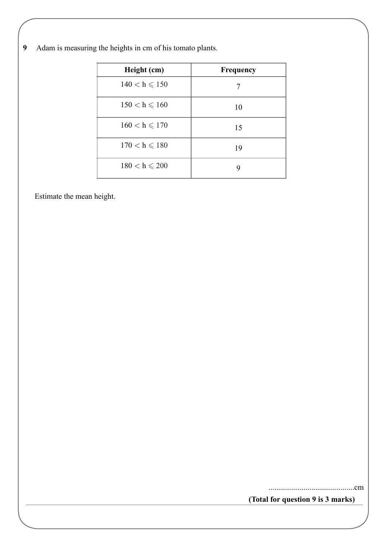| <b>9</b> Adam is measuring the heights in cm of his tomato plants. |  |
|--------------------------------------------------------------------|--|
|--------------------------------------------------------------------|--|

| Height (cm)       | Frequency |
|-------------------|-----------|
| $140 < h \le 150$ |           |
| $150 < h \le 160$ | 10        |
| $160 < h \le 170$ | 15        |
| $170 < h \le 180$ | 19        |
| $180 < h \le 200$ | 9         |

Estimate the mean height.

............................................cm

**(Total for question 9 is 3 marks)**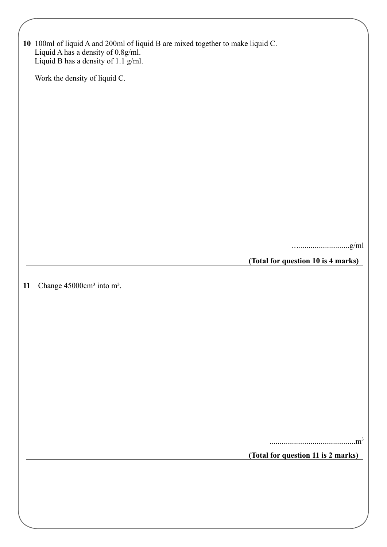|    | 10 100ml of liquid A and 200ml of liquid B are mixed together to make liquid C.<br>Liquid A has a density of $0.8g/ml$ .<br>Liquid B has a density of 1.1 $g/ml$ . |  |
|----|--------------------------------------------------------------------------------------------------------------------------------------------------------------------|--|
|    | Work the density of liquid C.                                                                                                                                      |  |
|    |                                                                                                                                                                    |  |
|    |                                                                                                                                                                    |  |
|    |                                                                                                                                                                    |  |
|    |                                                                                                                                                                    |  |
|    |                                                                                                                                                                    |  |
|    |                                                                                                                                                                    |  |
|    |                                                                                                                                                                    |  |
|    | (Total for question 10 is 4 marks)                                                                                                                                 |  |
| 11 | Change 45000cm <sup>3</sup> into m <sup>3</sup> .                                                                                                                  |  |
|    |                                                                                                                                                                    |  |
|    |                                                                                                                                                                    |  |
|    |                                                                                                                                                                    |  |
|    |                                                                                                                                                                    |  |
|    |                                                                                                                                                                    |  |
|    |                                                                                                                                                                    |  |
|    | (Total for question 11 is 2 marks)                                                                                                                                 |  |
|    |                                                                                                                                                                    |  |
|    |                                                                                                                                                                    |  |
|    |                                                                                                                                                                    |  |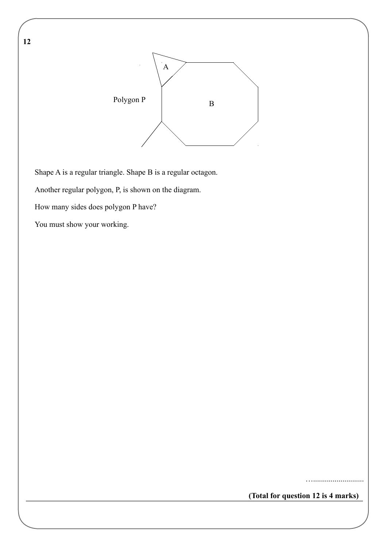

Shape A is a regular triangle. Shape B is a regular octagon.

Another regular polygon, P, is shown on the diagram.

How many sides does polygon P have?

You must show your working.

…..........................

**(Total for question 12 is 4 marks)**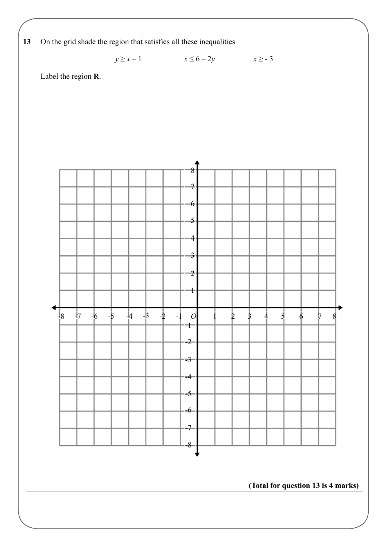**13** On the grid shade the region that satisfies all these inequalities

$$
y \ge x - 1 \qquad \qquad x \le 6 - 2y \qquad \qquad x \ge -3
$$

Label the region **R**.

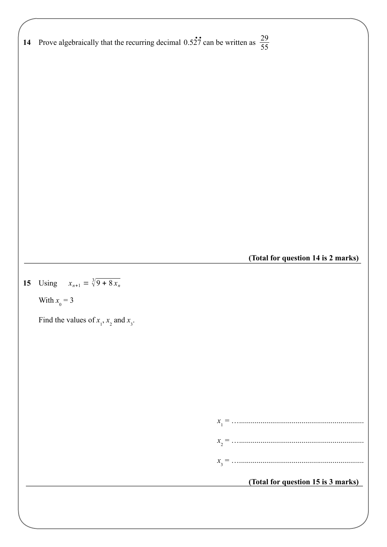**14** Prove algebraically that the recurring decimal  $0.527$  can be written as  $\frac{29}{55}$ **(Total for question 14 is 2 marks)** 55 ..<br>.. **15 (Total for question 15 is 3 marks) 15** Using  $x_{n+1} = \sqrt[3]{9} + 8x_n$ With  $x_0 = 3$ Find the values of  $x_1$ ,  $x_2$  and  $x_3$ . *x* 1 = …................................................................ *x* 2 = …................................................................ *x* 3 = …................................................................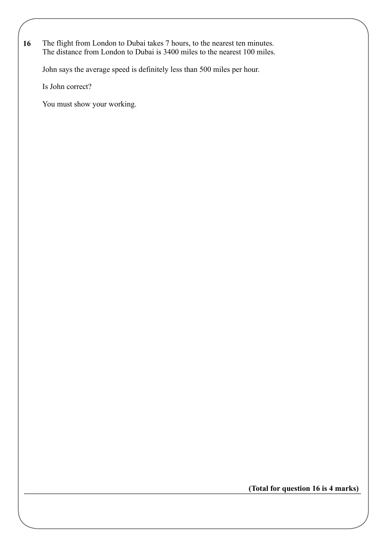#### **16**  The flight from London to Dubai takes 7 hours, to the nearest ten minutes. The distance from London to Dubai is 3400 miles to the nearest 100 miles.

John says the average speed is definitely less than 500 miles per hour.

Is John correct?

You must show your working.

**(Total for question 16 is 4 marks)**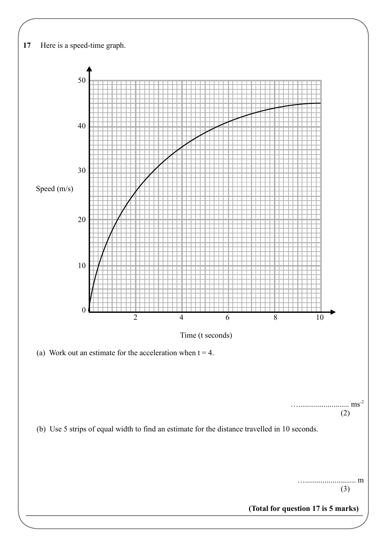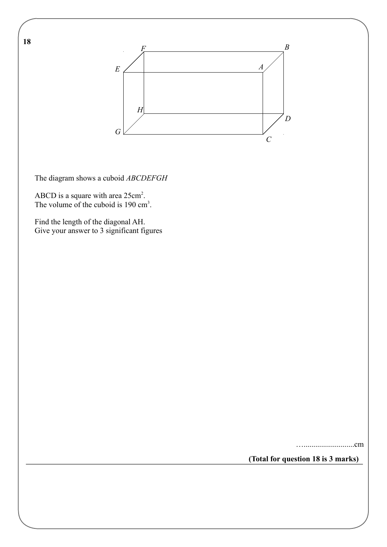

The diagram shows a cuboid *ABCDEFGH* 

ABCD is a square with area  $25 \text{cm}^2$ . The volume of the cuboid is  $190 \text{ cm}^3$ .

 Find the length of the diagonal AH. Give your answer to 3 significant figures

…..........................cm

**(Total for question 18 is 3 marks)**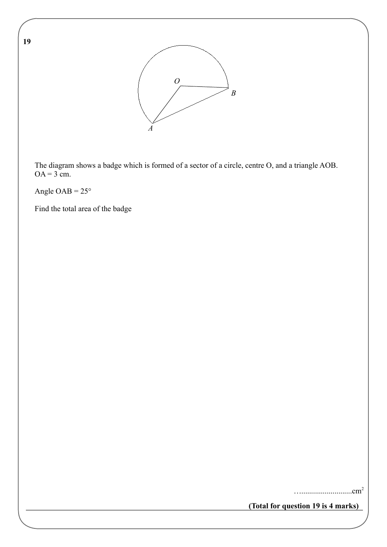

 The diagram shows a badge which is formed of a sector of a circle, centre O, and a triangle AOB.  $OA = 3$  cm.

Angle OAB =  $25^{\circ}$ 

Find the total area of the badge

…..........................cm<sup>2</sup>

**(Total for question 19 is 4 marks)**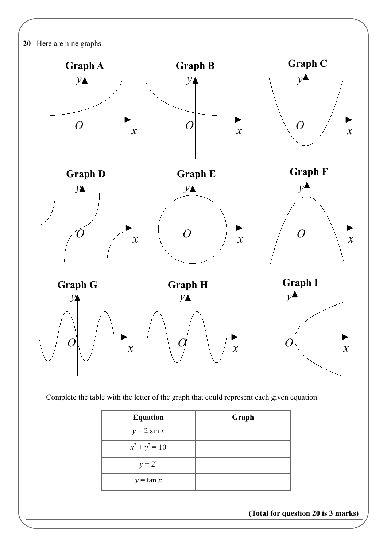



Complete the table with the letter of the graph that could represent each given equation.

| <b>Equation</b>  | Graph |
|------------------|-------|
| $y = 2 \sin x$   |       |
| $x^2 + y^2 = 10$ |       |
| $y = 2^x$        |       |
| $y = \tan x$     |       |

**(Total for question 20 is 3 marks)**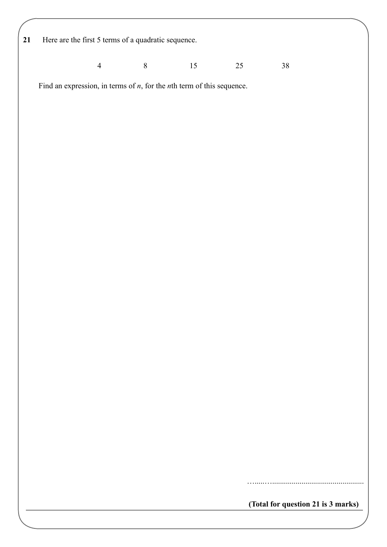**21** Here are the first 5 terms of a quadratic sequence.

4 8 15 25 38

Find an expression, in terms of *n*, for the *n*th term of this sequence.

**(Total for question 21 is 3 marks)**

…………………………………………………………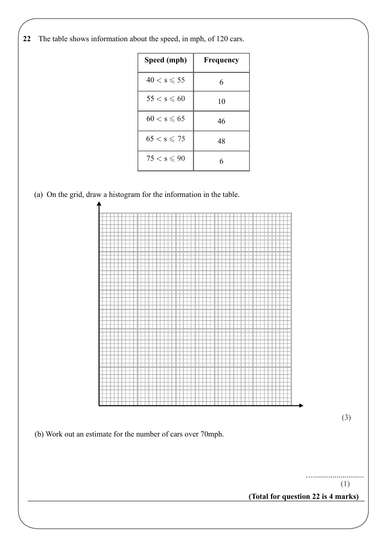**22** The table shows information about the speed, in mph, of 120 cars.

| Speed (mph)           | Frequency |
|-----------------------|-----------|
| $40 < s \leqslant 55$ | 6         |
| $55 < s \leqslant 60$ | 10        |
| $60 < s \leqslant 65$ | 46        |
| $65 < s \le 75$       | 48        |
| $75 < s \leqslant 90$ | 6         |

(a) On the grid, draw a histogram for the information in the table.



(3)

(b) Work out an estimate for the number of cars over 70mph.

(1)

…..........................

**(Total for question 22 is 4 marks)**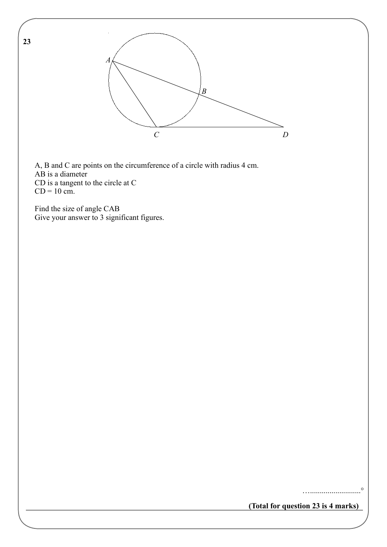

 A, B and C are points on the circumference of a circle with radius 4 cm. AB is a diameter CD is a tangent to the circle at C  $CD = 10 \text{ cm}$ .

 Find the size of angle CAB Give your answer to 3 significant figures.

**(Total for question 23 is 4 marks)**

………………………………<sup>o</sup>